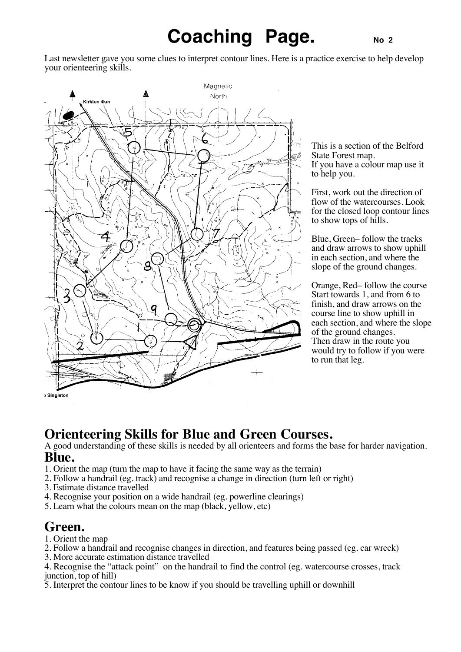# **Coaching Page.** No 2

Last newsletter gave you some clues to interpret contour lines. Here is a practice exercise to help develop your orienteering skills.



This is a section of the Belford State Forest map. If you have a colour map use it to help you.

First, work out the direction of flow of the watercourses. Look for the closed loop contour lines to show tops of hills.

Blue, Green– follow the tracks and draw arrows to show uphill in each section, and where the slope of the ground changes.

Orange, Red– follow the course Start towards 1, and from 6 to finish, and draw arrows on the course line to show uphill in each section, and where the slope of the ground changes. Then draw in the route you would try to follow if you were to run that leg.

### **Orienteering Skills for Blue and Green Courses.**

A good understanding of these skills is needed by all orienteers and forms the base for harder navigation. **Blue.**

- 1. Orient the map (turn the map to have it facing the same way as the terrain)
- 2. Follow a handrail (eg. track) and recognise a change in direction (turn left or right)
- 3. Estimate distance travelled
- 4. Recognise your position on a wide handrail (eg. powerline clearings)
- 5. Learn what the colours mean on the map (black, yellow, etc)

### **Green.**

- 1. Orient the map
- 2. Follow a handrail and recognise changes in direction, and features being passed (eg. car wreck)
- 3. More accurate estimation distance travelled

4. Recognise the "attack point" on the handrail to find the control (eg. watercourse crosses, track junction, top of hill)

5. Interpret the contour lines to be know if you should be travelling uphill or downhill